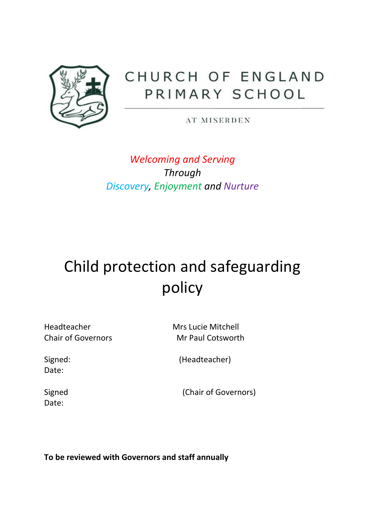

## CHURCH OF ENGLAND PRIMARY SCHOOL

AT MISERDEN

## *Welcoming and Serving Through Discovery, Enjoyment and Nurture*

# Child protection and safeguarding policy

Headteacher **Mrs Lucie Mitchell** 

Chair of Governors Mr Paul Cotsworth

Date:

Signed: (Headteacher)

Date:

Signed (Chair of Governors)

**To be reviewed with Governors and staff annually**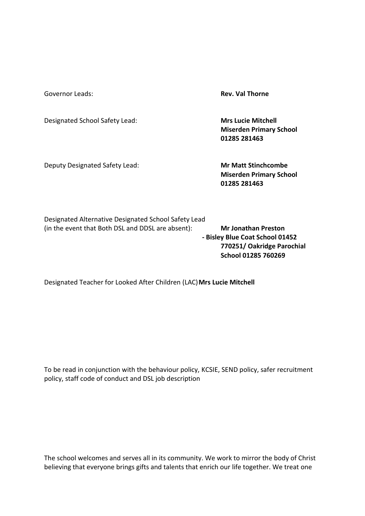| Governor Leads:                                      | <b>Rev. Val Thorne</b>                                                       |
|------------------------------------------------------|------------------------------------------------------------------------------|
| Designated School Safety Lead:                       | <b>Mrs Lucie Mitchell</b><br><b>Miserden Primary School</b><br>01285 281463  |
| Deputy Designated Safety Lead:                       | <b>Mr Matt Stinchcombe</b><br><b>Miserden Primary School</b><br>01285 281463 |
| Designated Alternative Designated School Safety Lead |                                                                              |

(in the event that Both DSL and DDSL are absent): **Mr Jonathan Preston - Bisley Blue Coat School 01452 770251/ Oakridge Parochial School 01285 760269**

Designated Teacher for Looked After Children (LAC)**Mrs Lucie Mitchell**

To be read in conjunction with the behaviour policy, KCSIE, SEND policy, safer recruitment policy, staff code of conduct and DSL job description

The school welcomes and serves all in its community. We work to mirror the body of Christ believing that everyone brings gifts and talents that enrich our life together. We treat one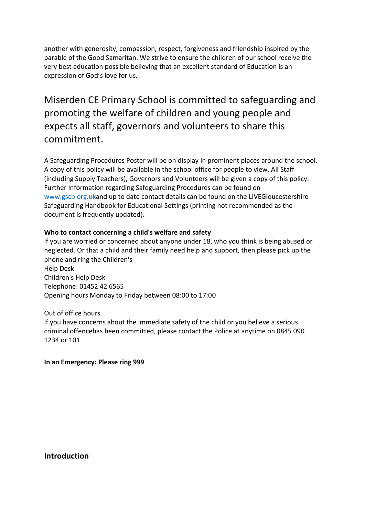another with generosity, compassion, respect, forgiveness and friendship inspired by the parable of the Good Samaritan. We strive to ensure the children of our school receive the very best education possible believing that an excellent standard of Education is an expression of God's love for us.

Miserden CE Primary School is committed to safeguarding and promoting the welfare of children and young people and expects all staff, governors and volunteers to share this commitment.

A Safeguarding Procedures Poster will be on display in prominent places around the school. A copy of this policy will be available in the school office for people to view. All Staff (including Supply Teachers), Governors and Volunteers will be given a copy of this policy. Further Information regarding Safeguarding Procedures can be found on [www.gscb.org.uka](http://www.gscb.org.uk/)nd up to date contact details can be found on the LIVEGloucestershire Safeguarding Handbook for Educational Settings (printing not recommended as the document is frequently updated).

#### **Who to contact concerning a child's welfare and safety**

If you are worried or concerned about anyone under 18, who you think is being abused or neglected. Or that a child and their family need help and support, then please pick up the phone and ring the Children's Help Desk Children's Help Desk Telephone: 01452 42 6565

Opening hours Monday to Friday between 08:00 to 17:00

Out of office hours If you have concerns about the immediate safety of the child or you believe a serious criminal offencehas been committed, please contact the Police at anytime on 0845 090 1234 or 101

**In an Emergency: Please ring 999**

**Introduction**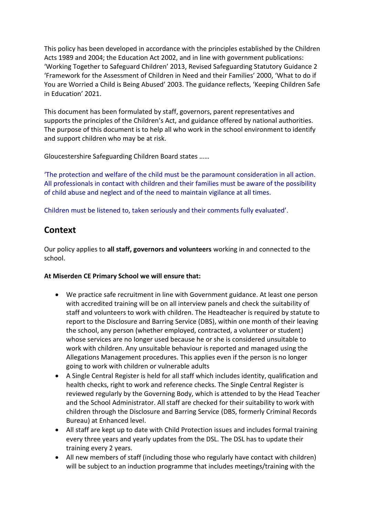This policy has been developed in accordance with the principles established by the Children Acts 1989 and 2004; the Education Act 2002, and in line with government publications: 'Working Together to Safeguard Children' 2013, Revised Safeguarding Statutory Guidance 2 'Framework for the Assessment of Children in Need and their Families' 2000, 'What to do if You are Worried a Child is Being Abused' 2003. The guidance reflects, 'Keeping Children Safe in Education' 2021.

This document has been formulated by staff, governors, parent representatives and supports the principles of the Children's Act, and guidance offered by national authorities. The purpose of this document is to help all who work in the school environment to identify and support children who may be at risk.

Gloucestershire Safeguarding Children Board states ……

'The protection and welfare of the child must be the paramount consideration in all action. All professionals in contact with children and their families must be aware of the possibility of child abuse and neglect and of the need to maintain vigilance at all times.

Children must be listened to, taken seriously and their comments fully evaluated'.

## **Context**

Our policy applies to **all staff, governors and volunteers** working in and connected to the school.

#### **At Miserden CE Primary School we will ensure that:**

- We practice safe recruitment in line with Government guidance. At least one person with accredited training will be on all interview panels and check the suitability of staff and volunteers to work with children. The Headteacher is required by statute to report to the Disclosure and Barring Service (DBS), within one month of their leaving the school, any person (whether employed, contracted, a volunteer or student) whose services are no longer used because he or she is considered unsuitable to work with children. Any unsuitable behaviour is reported and managed using the Allegations Management procedures. This applies even if the person is no longer going to work with children or vulnerable adults
- A Single Central Register is held for all staff which includes identity, qualification and health checks, right to work and reference checks. The Single Central Register is reviewed regularly by the Governing Body, which is attended to by the Head Teacher and the School Administrator. All staff are checked for their suitability to work with children through the Disclosure and Barring Service (DBS, formerly Criminal Records Bureau) at Enhanced level.
- All staff are kept up to date with Child Protection issues and includes formal training every three years and yearly updates from the DSL. The DSL has to update their training every 2 years.
- All new members of staff (including those who regularly have contact with children) will be subject to an induction programme that includes meetings/training with the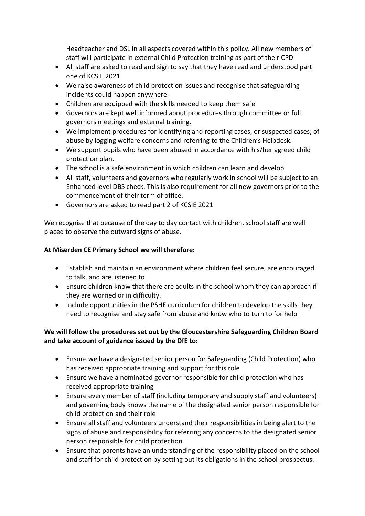Headteacher and DSL in all aspects covered within this policy. All new members of staff will participate in external Child Protection training as part of their CPD

- All staff are asked to read and sign to say that they have read and understood part one of KCSIE 2021
- We raise awareness of child protection issues and recognise that safeguarding incidents could happen anywhere.
- Children are equipped with the skills needed to keep them safe
- Governors are kept well informed about procedures through committee or full governors meetings and external training.
- We implement procedures for identifying and reporting cases, or suspected cases, of abuse by logging welfare concerns and referring to the Children's Helpdesk.
- We support pupils who have been abused in accordance with his/her agreed child protection plan.
- The school is a safe environment in which children can learn and develop
- All staff, volunteers and governors who regularly work in school will be subject to an Enhanced level DBS check. This is also requirement for all new governors prior to the commencement of their term of office.
- Governors are asked to read part 2 of KCSIE 2021

We recognise that because of the day to day contact with children, school staff are well placed to observe the outward signs of abuse.

#### **At Miserden CE Primary School we will therefore:**

- Establish and maintain an environment where children feel secure, are encouraged to talk, and are listened to
- Ensure children know that there are adults in the school whom they can approach if they are worried or in difficulty.
- Include opportunities in the PSHE curriculum for children to develop the skills they need to recognise and stay safe from abuse and know who to turn to for help

#### **We will follow the procedures set out by the Gloucestershire Safeguarding Children Board and take account of guidance issued by the DfE to:**

- Ensure we have a designated senior person for Safeguarding (Child Protection) who has received appropriate training and support for this role
- Ensure we have a nominated governor responsible for child protection who has received appropriate training
- Ensure every member of staff (including temporary and supply staff and volunteers) and governing body knows the name of the designated senior person responsible for child protection and their role
- Ensure all staff and volunteers understand their responsibilities in being alert to the signs of abuse and responsibility for referring any concerns to the designated senior person responsible for child protection
- Ensure that parents have an understanding of the responsibility placed on the school and staff for child protection by setting out its obligations in the school prospectus.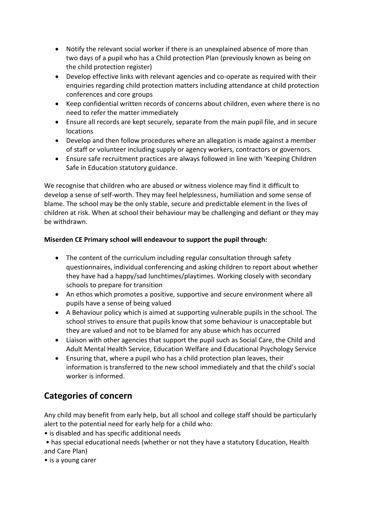- Notify the relevant social worker if there is an unexplained absence of more than two days of a pupil who has a Child protection Plan (previously known as being on the child protection register)
- Develop effective links with relevant agencies and co-operate as required with their enquiries regarding child protection matters including attendance at child protection conferences and core groups
- Keep confidential written records of concerns about children, even where there is no need to refer the matter immediately
- Ensure all records are kept securely, separate from the main pupil file, and in secure locations
- Develop and then follow procedures where an allegation is made against a member of staff or volunteer including supply or agency workers, contractors or governors.
- Ensure safe recruitment practices are always followed in line with 'Keeping Children Safe in Education statutory guidance.

We recognise that children who are abused or witness violence may find it difficult to develop a sense of self-worth. They may feel helplessness, humiliation and some sense of blame. The school may be the only stable, secure and predictable element in the lives of children at risk. When at school their behaviour may be challenging and defiant or they may be withdrawn.

#### **Miserden CE Primary school will endeavour to support the pupil through:**

- The content of the curriculum including regular consultation through safety questionnaires, individual conferencing and asking children to report about whether they have had a happy/sad lunchtimes/playtimes. Working closely with secondary schools to prepare for transition
- An ethos which promotes a positive, supportive and secure environment where all pupils have a sense of being valued
- A Behaviour policy which is aimed at supporting vulnerable pupils in the school. The school strives to ensure that pupils know that some behaviour is unacceptable but they are valued and not to be blamed for any abuse which has occurred
- Liaison with other agencies that support the pupil such as Social Care, the Child and Adult Mental Health Service, Education Welfare and Educational Psychology Service
- Ensuring that, where a pupil who has a child protection plan leaves, their information is transferred to the new school immediately and that the child's social worker is informed.

## **Categories of concern**

Any child may benefit from early help, but all school and college staff should be particularly alert to the potential need for early help for a child who:

- is disabled and has specific additional needs
- has special educational needs (whether or not they have a statutory Education, Health and Care Plan)
- is a young carer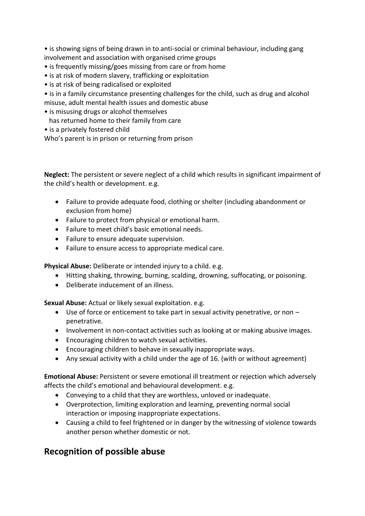• is showing signs of being drawn in to anti-social or criminal behaviour, including gang involvement and association with organised crime groups

- is frequently missing/goes missing from care or from home
- is at risk of modern slavery, trafficking or exploitation
- is at risk of being radicalised or exploited
- is in a family circumstance presenting challenges for the child, such as drug and alcohol misuse, adult mental health issues and domestic abuse
- is misusing drugs or alcohol themselves
	- has returned home to their family from care
- is a privately fostered child
- Who's parent is in prison or returning from prison

**Neglect:** The persistent or severe neglect of a child which results in significant impairment of the child's health or development. e.g.

- Failure to provide adequate food, clothing or shelter (including abandonment or exclusion from home)
- Failure to protect from physical or emotional harm.
- Failure to meet child's basic emotional needs.
- Failure to ensure adequate supervision.
- Failure to ensure access to appropriate medical care.

**Physical Abuse:** Deliberate or intended injury to a child. e.g.

- Hitting shaking, throwing, burning, scalding, drowning, suffocating, or poisoning.
- Deliberate inducement of an illness.

**Sexual Abuse:** Actual or likely sexual exploitation. e.g.

- Use of force or enticement to take part in sexual activity penetrative, or non  $$ penetrative.
- Involvement in non-contact activities such as looking at or making abusive images.
- Encouraging children to watch sexual activities.
- Encouraging children to behave in sexually inappropriate ways.
- Any sexual activity with a child under the age of 16. (with or without agreement)

**Emotional Abuse:** Persistent or severe emotional ill treatment or rejection which adversely affects the child's emotional and behavioural development. e.g.

- Conveying to a child that they are worthless, unloved or inadequate.
- Overprotection, limiting exploration and learning, preventing normal social interaction or imposing inappropriate expectations.
- Causing a child to feel frightened or in danger by the witnessing of violence towards another person whether domestic or not.

## **Recognition of possible abuse**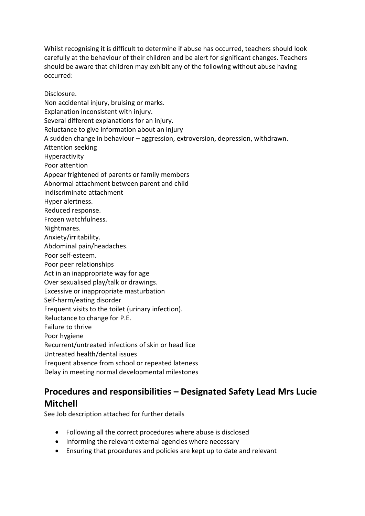Whilst recognising it is difficult to determine if abuse has occurred, teachers should look carefully at the behaviour of their children and be alert for significant changes. Teachers should be aware that children may exhibit any of the following without abuse having occurred:

Disclosure. Non accidental injury, bruising or marks. Explanation inconsistent with injury. Several different explanations for an injury. Reluctance to give information about an injury A sudden change in behaviour – aggression, extroversion, depression, withdrawn. Attention seeking Hyperactivity Poor attention Appear frightened of parents or family members Abnormal attachment between parent and child Indiscriminate attachment Hyper alertness. Reduced response. Frozen watchfulness. Nightmares. Anxiety/irritability. Abdominal pain/headaches. Poor self-esteem. Poor peer relationships Act in an inappropriate way for age Over sexualised play/talk or drawings. Excessive or inappropriate masturbation Self-harm/eating disorder Frequent visits to the toilet (urinary infection). Reluctance to change for P.E. Failure to thrive Poor hygiene Recurrent/untreated infections of skin or head lice Untreated health/dental issues Frequent absence from school or repeated lateness Delay in meeting normal developmental milestones

## **Procedures and responsibilities – Designated Safety Lead Mrs Lucie Mitchell**

See Job description attached for further details

- Following all the correct procedures where abuse is disclosed
- Informing the relevant external agencies where necessary
- Ensuring that procedures and policies are kept up to date and relevant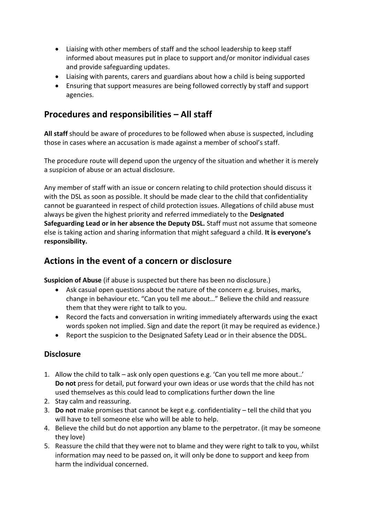- Liaising with other members of staff and the school leadership to keep staff informed about measures put in place to support and/or monitor individual cases and provide safeguarding updates.
- Liaising with parents, carers and guardians about how a child is being supported
- Ensuring that support measures are being followed correctly by staff and support agencies.

## **Procedures and responsibilities – All staff**

**All staff** should be aware of procedures to be followed when abuse is suspected, including those in cases where an accusation is made against a member of school's staff.

The procedure route will depend upon the urgency of the situation and whether it is merely a suspicion of abuse or an actual disclosure.

Any member of staff with an issue or concern relating to child protection should discuss it with the DSL as soon as possible. It should be made clear to the child that confidentiality cannot be guaranteed in respect of child protection issues. Allegations of child abuse must always be given the highest priority and referred immediately to the **Designated Safeguarding Lead or in her absence the Deputy DSL.** Staff must not assume that someone else is taking action and sharing information that might safeguard a child. **It is everyone's responsibility.**

## **Actions in the event of a concern or disclosure**

**Suspicion of Abuse** (if abuse is suspected but there has been no disclosure.)

- Ask casual open questions about the nature of the concern e.g. bruises, marks, change in behaviour etc. "Can you tell me about…" Believe the child and reassure them that they were right to talk to you.
- Record the facts and conversation in writing immediately afterwards using the exact words spoken not implied. Sign and date the report (it may be required as evidence.)
- Report the suspicion to the Designated Safety Lead or in their absence the DDSL.

#### **Disclosure**

- 1. Allow the child to talk ask only open questions e.g. 'Can you tell me more about..' **Do not** press for detail, put forward your own ideas or use words that the child has not used themselves as this could lead to complications further down the line
- 2. Stay calm and reassuring.
- 3. **Do not** make promises that cannot be kept e.g. confidentiality tell the child that you will have to tell someone else who will be able to help.
- 4. Believe the child but do not apportion any blame to the perpetrator. (it may be someone they love)
- 5. Reassure the child that they were not to blame and they were right to talk to you, whilst information may need to be passed on, it will only be done to support and keep from harm the individual concerned.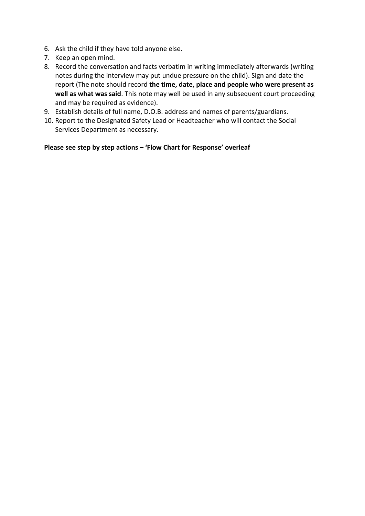- 6. Ask the child if they have told anyone else.
- 7. Keep an open mind.
- 8. Record the conversation and facts verbatim in writing immediately afterwards (writing notes during the interview may put undue pressure on the child). Sign and date the report (The note should record **the time, date, place and people who were present as well as what was said**. This note may well be used in any subsequent court proceeding and may be required as evidence).
- 9. Establish details of full name, D.O.B. address and names of parents/guardians.
- 10. Report to the Designated Safety Lead or Headteacher who will contact the Social Services Department as necessary.

**Please see step by step actions – 'Flow Chart for Response' overleaf**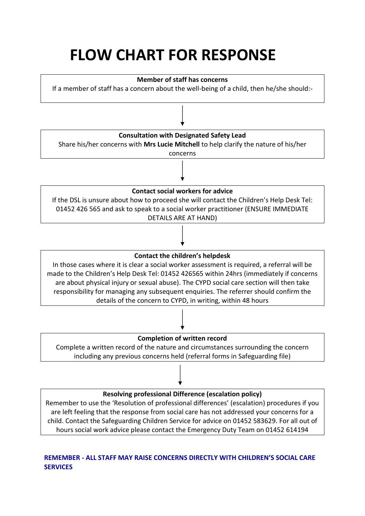## **FLOW CHART FOR RESPONSE**



child. Contact the Safeguarding Children Service for advice on 01452 583629. For all out of hours social work advice please contact the Emergency Duty Team on 01452 614194

#### **REMEMBER - ALL STAFF MAY RAISE CONCERNS DIRECTLY WITH CHILDREN'S SOCIAL CARE SERVICES**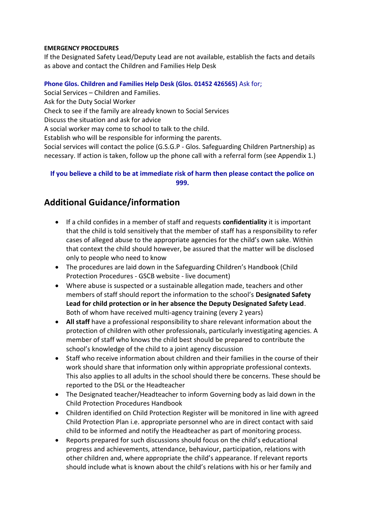#### **EMERGENCY PROCEDURES**

If the Designated Safety Lead/Deputy Lead are not available, establish the facts and details as above and contact the Children and Families Help Desk

#### **Phone Glos. Children and Families Help Desk (Glos. 01452 426565)** Ask for;

Social Services – Children and Families.

Ask for the Duty Social Worker

Check to see if the family are already known to Social Services

Discuss the situation and ask for advice

A social worker may come to school to talk to the child.

Establish who will be responsible for informing the parents.

Social services will contact the police (G.S.G.P - Glos. Safeguarding Children Partnership) as necessary. If action is taken, follow up the phone call with a referral form (see Appendix 1.)

#### **If you believe a child to be at immediate risk of harm then please contact the police on 999.**

## **Additional Guidance/information**

- If a child confides in a member of staff and requests **confidentiality** it is important that the child is told sensitively that the member of staff has a responsibility to refer cases of alleged abuse to the appropriate agencies for the child's own sake. Within that context the child should however, be assured that the matter will be disclosed only to people who need to know
- The procedures are laid down in the Safeguarding Children's Handbook (Child Protection Procedures - GSCB website - live document)
- Where abuse is suspected or a sustainable allegation made, teachers and other members of staff should report the information to the school's **Designated Safety Lead for child protection or in her absence the Deputy Designated Safety Lead**. Both of whom have received multi-agency training (every 2 years)
- **All staff** have a professional responsibility to share relevant information about the protection of children with other professionals, particularly investigating agencies. A member of staff who knows the child best should be prepared to contribute the school's knowledge of the child to a joint agency discussion
- Staff who receive information about children and their families in the course of their work should share that information only within appropriate professional contexts. This also applies to all adults in the school should there be concerns. These should be reported to the DSL or the Headteacher
- The Designated teacher/Headteacher to inform Governing body as laid down in the Child Protection Procedures Handbook
- Children identified on Child Protection Register will be monitored in line with agreed Child Protection Plan i.e. appropriate personnel who are in direct contact with said child to be informed and notify the Headteacher as part of monitoring process.
- Reports prepared for such discussions should focus on the child's educational progress and achievements, attendance, behaviour, participation, relations with other children and, where appropriate the child's appearance. If relevant reports should include what is known about the child's relations with his or her family and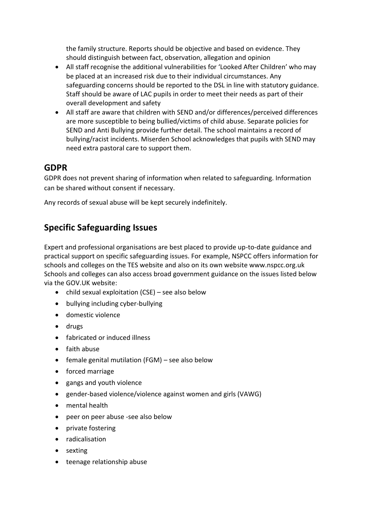the family structure. Reports should be objective and based on evidence. They should distinguish between fact, observation, allegation and opinion

- All staff recognise the additional vulnerabilities for 'Looked After Children' who may be placed at an increased risk due to their individual circumstances. Any safeguarding concerns should be reported to the DSL in line with statutory guidance. Staff should be aware of LAC pupils in order to meet their needs as part of their overall development and safety
- All staff are aware that children with SEND and/or differences/perceived differences are more susceptible to being bullied/victims of child abuse. Separate policies for SEND and Anti Bullying provide further detail. The school maintains a record of bullying/racist incidents. Miserden School acknowledges that pupils with SEND may need extra pastoral care to support them.

## **GDPR**

GDPR does not prevent sharing of information when related to safeguarding. Information can be shared without consent if necessary.

Any records of sexual abuse will be kept securely indefinitely.

## **Specific Safeguarding Issues**

Expert and professional organisations are best placed to provide up-to-date guidance and practical support on specific safeguarding issues. For example, NSPCC offers information for schools and colleges on the TES website and also on its own website www.nspcc.org.uk Schools and colleges can also access broad government guidance on the issues listed below via the GOV.UK website:

- child sexual exploitation (CSE) see also below
- bullying including cyber-bullying
- domestic violence
- drugs
- fabricated or induced illness
- faith abuse
- female genital mutilation (FGM) see also below
- forced marriage
- gangs and youth violence
- gender-based violence/violence against women and girls (VAWG)
- mental health
- peer on peer abuse -see also below
- private fostering
- radicalisation
- sexting
- teenage relationship abuse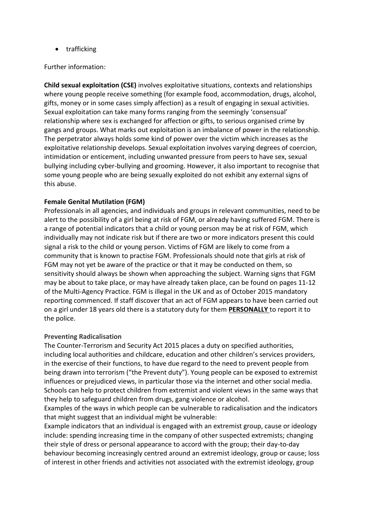• trafficking

Further information:

**Child sexual exploitation (CSE)** involves exploitative situations, contexts and relationships where young people receive something (for example food, accommodation, drugs, alcohol, gifts, money or in some cases simply affection) as a result of engaging in sexual activities. Sexual exploitation can take many forms ranging from the seemingly 'consensual' relationship where sex is exchanged for affection or gifts, to serious organised crime by gangs and groups. What marks out exploitation is an imbalance of power in the relationship. The perpetrator always holds some kind of power over the victim which increases as the exploitative relationship develops. Sexual exploitation involves varying degrees of coercion, intimidation or enticement, including unwanted pressure from peers to have sex, sexual bullying including cyber-bullying and grooming. However, it also important to recognise that some young people who are being sexually exploited do not exhibit any external signs of this abuse.

#### **Female Genital Mutilation (FGM)**

Professionals in all agencies, and individuals and groups in relevant communities, need to be alert to the possibility of a girl being at risk of FGM, or already having suffered FGM. There is a range of potential indicators that a child or young person may be at risk of FGM, which individually may not indicate risk but if there are two or more indicators present this could signal a risk to the child or young person. Victims of FGM are likely to come from a community that is known to practise FGM. Professionals should note that girls at risk of FGM may not yet be aware of the practice or that it may be conducted on them, so sensitivity should always be shown when approaching the subject. Warning signs that FGM may be about to take place, or may have already taken place, can be found on pages 11-12 of the Multi-Agency Practice. FGM is illegal in the UK and as of October 2015 mandatory reporting commenced. If staff discover that an act of FGM appears to have been carried out on a girl under 18 years old there is a statutory duty for them **PERSONALLY** to report it to the police.

#### **Preventing Radicalisation**

The Counter-Terrorism and Security Act 2015 places a duty on specified authorities, including local authorities and childcare, education and other children's services providers, in the exercise of their functions, to have due regard to the need to prevent people from being drawn into terrorism ("the Prevent duty"). Young people can be exposed to extremist influences or prejudiced views, in particular those via the internet and other social media. Schools can help to protect children from extremist and violent views in the same ways that they help to safeguard children from drugs, gang violence or alcohol.

Examples of the ways in which people can be vulnerable to radicalisation and the indicators that might suggest that an individual might be vulnerable:

Example indicators that an individual is engaged with an extremist group, cause or ideology include: spending increasing time in the company of other suspected extremists; changing their style of dress or personal appearance to accord with the group; their day-to-day behaviour becoming increasingly centred around an extremist ideology, group or cause; loss of interest in other friends and activities not associated with the extremist ideology, group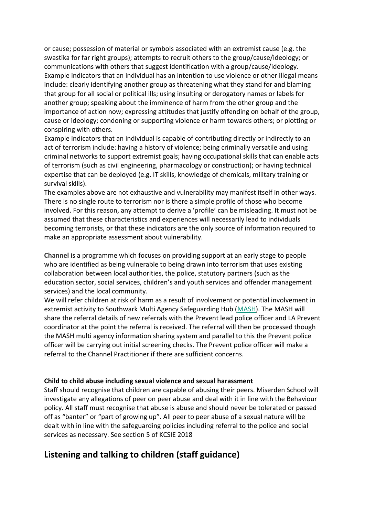or cause; possession of material or symbols associated with an extremist cause (e.g. the swastika for far right groups); attempts to recruit others to the group/cause/ideology; or communications with others that suggest identification with a group/cause/ideology. Example indicators that an individual has an intention to use violence or other illegal means include: clearly identifying another group as threatening what they stand for and blaming that group for all social or political ills; using insulting or derogatory names or labels for another group; speaking about the imminence of harm from the other group and the importance of action now; expressing attitudes that justify offending on behalf of the group, cause or ideology; condoning or supporting violence or harm towards others; or plotting or conspiring with others.

Example indicators that an individual is capable of contributing directly or indirectly to an act of terrorism include: having a history of violence; being criminally versatile and using criminal networks to support extremist goals; having occupational skills that can enable acts of terrorism (such as civil engineering, pharmacology or construction); or having technical expertise that can be deployed (e.g. IT skills, knowledge of chemicals, military training or survival skills).

The examples above are not exhaustive and vulnerability may manifest itself in other ways. There is no single route to terrorism nor is there a simple profile of those who become involved. For this reason, any attempt to derive a 'profile' can be misleading. It must not be assumed that these characteristics and experiences will necessarily lead to individuals becoming terrorists, or that these indicators are the only source of information required to make an appropriate assessment about vulnerability.

**Channel** is a programme which focuses on providing support at an early stage to people who are identified as being vulnerable to being drawn into terrorism that uses existing collaboration between local authorities, the police, statutory partners (such as the education sector, social services, children's and youth services and offender management services) and the local community.

We will refer children at risk of harm as a result of involvement or potential involvement in extremist activity to Southwark Multi Agency Safeguarding Hub [\(MASH\)](https://www.southwark.gov.uk/info/266/child_protection/2951/multi-agency_safeguarding_hub_mash). The MASH will share the referral details of new referrals with the Prevent lead police officer and LA Prevent coordinator at the point the referral is received. The referral will then be processed though the MASH multi agency information sharing system and parallel to this the Prevent police officer will be carrying out initial screening checks. The Prevent police officer will make a referral to the Channel Practitioner if there are sufficient concerns.

#### **Child to child abuse including sexual violence and sexual harassment**

Staff should recognise that children are capable of abusing their peers. Miserden School will investigate any allegations of peer on peer abuse and deal with it in line with the Behaviour policy. All staff must recognise that abuse is abuse and should never be tolerated or passed off as "banter" or "part of growing up". All peer to peer abuse of a sexual nature will be dealt with in line with the safeguarding policies including referral to the police and social services as necessary. See section 5 of KCSIE 2018

## **Listening and talking to children (staff guidance)**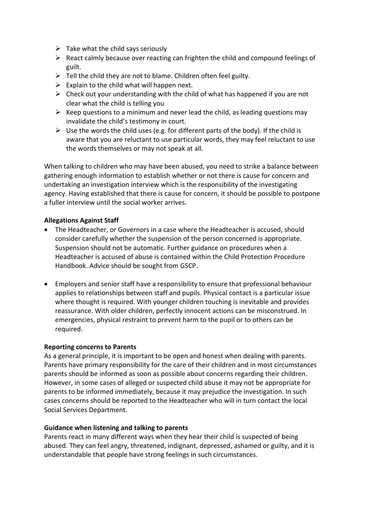- $\triangleright$  Take what the child says seriously
- ➢ React calmly because over reacting can frighten the child and compound feelings of guilt.
- $\triangleright$  Tell the child they are not to blame. Children often feel guilty.
- $\triangleright$  Explain to the child what will happen next.
- $\triangleright$  Check out your understanding with the child of what has happened if you are not clear what the child is telling you
- $\triangleright$  Keep questions to a minimum and never lead the child, as leading questions may invalidate the child's testimony in court.
- $\triangleright$  Use the words the child uses (e.g. for different parts of the body). If the child is aware that you are reluctant to use particular words, they may feel reluctant to use the words themselves or may not speak at all.

When talking to children who may have been abused, you need to strike a balance between gathering enough information to establish whether or not there is cause for concern and undertaking an investigation interview which is the responsibility of the investigating agency. Having established that there is cause for concern, it should be possible to postpone a fuller interview until the social worker arrives.

#### **Allegations Against Staff**

- The Headteacher, or Governors in a case where the Headteacher is accused, should consider carefully whether the suspension of the person concerned is appropriate. Suspension should not be automatic. Further guidance on procedures when a Headteacher is accused of abuse is contained within the Child Protection Procedure Handbook. Advice should be sought from GSCP.
- Employers and senior staff have a responsibility to ensure that professional behaviour applies to relationships between staff and pupils. Physical contact is a particular issue where thought is required. With younger children touching is inevitable and provides reassurance. With older children, perfectly innocent actions can be misconstrued. In emergencies, physical restraint to prevent harm to the pupil or to others can be required.

#### **Reporting concerns to Parents**

As a general principle, it is important to be open and honest when dealing with parents. Parents have primary responsibility for the care of their children and in most circumstances parents should be informed as soon as possible about concerns regarding their children. However, in some cases of alleged or suspected child abuse it may not be appropriate for parents to be informed immediately, because it may prejudice the investigation. In such cases concerns should be reported to the Headteacher who will in turn contact the local Social Services Department.

#### **Guidance when listening and talking to parents**

Parents react in many different ways when they hear their child is suspected of being abused. They can feel angry, threatened, indignant, depressed, ashamed or guilty, and it is understandable that people have strong feelings in such circumstances.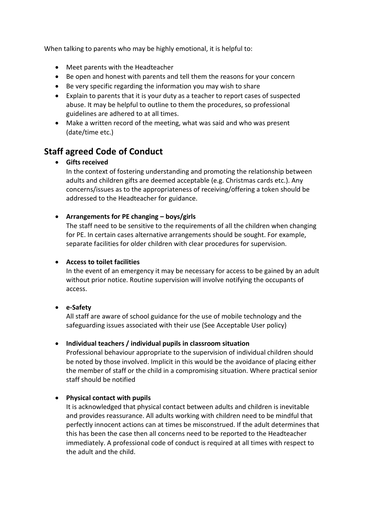When talking to parents who may be highly emotional, it is helpful to:

- Meet parents with the Headteacher
- Be open and honest with parents and tell them the reasons for your concern
- Be very specific regarding the information you may wish to share
- Explain to parents that it is your duty as a teacher to report cases of suspected abuse. It may be helpful to outline to them the procedures, so professional guidelines are adhered to at all times.
- Make a written record of the meeting, what was said and who was present (date/time etc.)

## **Staff agreed Code of Conduct**

#### • **Gifts received**

In the context of fostering understanding and promoting the relationship between adults and children gifts are deemed acceptable (e.g. Christmas cards etc.). Any concerns/issues as to the appropriateness of receiving/offering a token should be addressed to the Headteacher for guidance.

#### • **Arrangements for PE changing – boys/girls**

The staff need to be sensitive to the requirements of all the children when changing for PE. In certain cases alternative arrangements should be sought. For example, separate facilities for older children with clear procedures for supervision.

#### • **Access to toilet facilities**

In the event of an emergency it may be necessary for access to be gained by an adult without prior notice. Routine supervision will involve notifying the occupants of access.

#### • **e-Safety**

All staff are aware of school guidance for the use of mobile technology and the safeguarding issues associated with their use (See Acceptable User policy)

#### • **Individual teachers / individual pupils in classroom situation**

Professional behaviour appropriate to the supervision of individual children should be noted by those involved. Implicit in this would be the avoidance of placing either the member of staff or the child in a compromising situation. Where practical senior staff should be notified

#### • **Physical contact with pupils**

It is acknowledged that physical contact between adults and children is inevitable and provides reassurance. All adults working with children need to be mindful that perfectly innocent actions can at times be misconstrued. If the adult determines that this has been the case then all concerns need to be reported to the Headteacher immediately. A professional code of conduct is required at all times with respect to the adult and the child.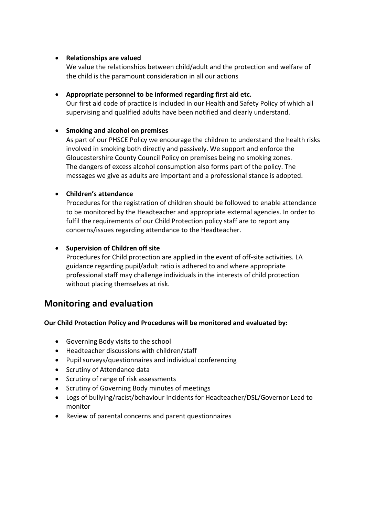#### • **Relationships are valued**

We value the relationships between child/adult and the protection and welfare of the child is the paramount consideration in all our actions

#### • **Appropriate personnel to be informed regarding first aid etc.**

Our first aid code of practice is included in our Health and Safety Policy of which all supervising and qualified adults have been notified and clearly understand.

#### • **Smoking and alcohol on premises**

As part of our PHSCE Policy we encourage the children to understand the health risks involved in smoking both directly and passively. We support and enforce the Gloucestershire County Council Policy on premises being no smoking zones. The dangers of excess alcohol consumption also forms part of the policy. The messages we give as adults are important and a professional stance is adopted.

#### • **Children's attendance**

Procedures for the registration of children should be followed to enable attendance to be monitored by the Headteacher and appropriate external agencies. In order to fulfil the requirements of our Child Protection policy staff are to report any concerns/issues regarding attendance to the Headteacher.

#### • **Supervision of Children off site**

Procedures for Child protection are applied in the event of off-site activities. LA guidance regarding pupil/adult ratio is adhered to and where appropriate professional staff may challenge individuals in the interests of child protection without placing themselves at risk.

## **Monitoring and evaluation**

#### **Our Child Protection Policy and Procedures will be monitored and evaluated by:**

- Governing Body visits to the school
- Headteacher discussions with children/staff
- Pupil surveys/questionnaires and individual conferencing
- Scrutiny of Attendance data
- Scrutiny of range of risk assessments
- Scrutiny of Governing Body minutes of meetings
- Logs of bullying/racist/behaviour incidents for Headteacher/DSL/Governor Lead to monitor
- Review of parental concerns and parent questionnaires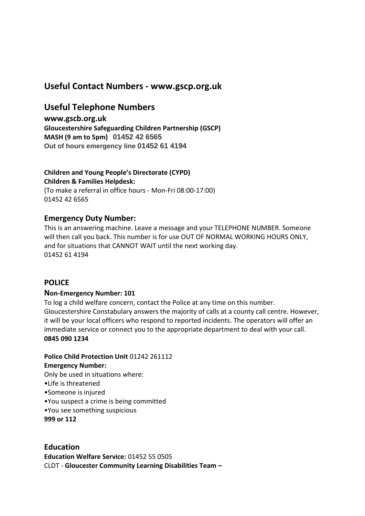### **Useful Contact Numbers - www.gscp.org.uk**

### **Useful Telephone Numbers**

**www.gscb.org.uk Gloucestershire Safeguarding Children Partnership (GSCP) MASH (9 am to 5pm) 01452 42 6565 Out of hours emergency line 01452 61 4194**

#### **Children and Young People's Directorate (CYPD)**

**Children & Families Helpdesk:** 

(To make a referral in office hours - Mon-Fri 08:00-17:00) 01452 42 6565

#### **Emergency Duty Number:**

This is an answering machine. Leave a message and your TELEPHONE NUMBER. Someone will then call you back. This number is for use OUT OF NORMAL WORKING HOURS ONLY, and for situations that CANNOT WAIT until the next working day. 01452 61 4194

#### **POLICE**

#### **Non-Emergency Number: 101**

To log a child welfare concern, contact the Police at any time on this number. Gloucestershire Constabulary answers the majority of calls at a county call centre. However, it will be your local officers who respond to reported incidents. The operators will offer an immediate service or connect you to the appropriate department to deal with your call. **0845 090 1234** 

## **Police Child Protection Unit** 01242 261112

**Emergency Number:** 

Only be used in situations where:

•Life is threatened

•Someone is injured

•You suspect a crime is being committed

•You see something suspicious

**999 or 112** 

**Education Education Welfare Service:** 01452 55 0505 CLDT - **Gloucester Community Learning Disabilities Team –**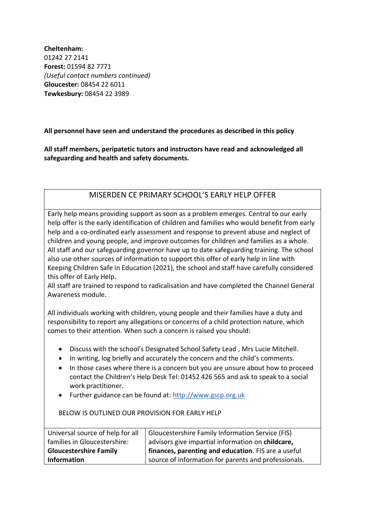**Cheltenham:**  01242 27 2141 **Forest:** 01594 82 7771 *(Useful contact numbers continued)*  **Gloucester:** 08454 22 6011 **Tewkesbury:** 08454 22 3989

**All personnel have seen and understand the procedures as described in this policy**

**All staff members, peripatetic tutors and instructors have read and acknowledged all safeguarding and health and safety documents.**

#### MISERDEN CE PRIMARY SCHOOL'S EARLY HELP OFFER

Early help means providing support as soon as a problem emerges. Central to our early help offer is the early identification of children and families who would benefit from early help and a co-ordinated early assessment and response to prevent abuse and neglect of children and young people, and improve outcomes for children and families as a whole. All staff and our safeguarding governor have up to date safeguarding training. The school also use other sources of information to support this offer of early help in line with Keeping Children Safe in Education (2021), the school and staff have carefully considered this offer of Early Help.

All staff are trained to respond to radicalisation and have completed the Channel General Awareness module.

All individuals working with children, young people and their families have a duty and responsibility to report any allegations or concerns of a child protection nature, which comes to their attention. When such a concern is raised you should:

- Discuss with the school's Designated School Safety Lead , Mrs Lucie Mitchell.
- In writing, log briefly and accurately the concern and the child's comments.
- In those cases where there is a concern but you are unsure about how to proceed contact the Children's Help Desk Tel: 01452 426 565 and ask to speak to a social work practitioner.
- Further guidance can be found at: [http://www.gscp.org.uk](http://www.gscp.org.uk/)

BELOW IS OUTLINED OUR PROVISION FOR EARLY HELP

| Universal source of help for all | Gloucestershire Family Information Service (FIS)     |
|----------------------------------|------------------------------------------------------|
| families in Gloucestershire:     | advisors give impartial information on childcare,    |
| <b>Gloucestershire Family</b>    | finances, parenting and education. FIS are a useful  |
| <b>Information</b>               | source of information for parents and professionals. |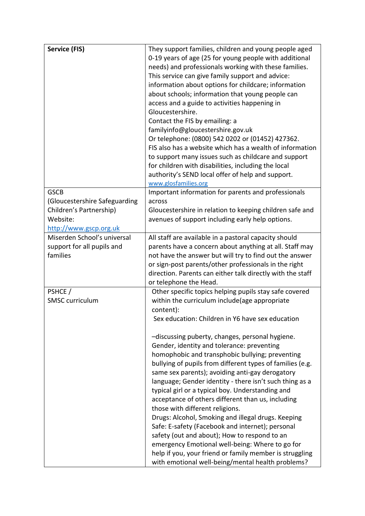| Service (FIS)                                                                                                                                                   | They support families, children and young people aged<br>0-19 years of age (25 for young people with additional<br>needs) and professionals working with these families.<br>This service can give family support and advice:                                                                                                                                                                                                                                                                                                                                                                                                                                                                                                                                                                                                                                                                                                                                                   |
|-----------------------------------------------------------------------------------------------------------------------------------------------------------------|--------------------------------------------------------------------------------------------------------------------------------------------------------------------------------------------------------------------------------------------------------------------------------------------------------------------------------------------------------------------------------------------------------------------------------------------------------------------------------------------------------------------------------------------------------------------------------------------------------------------------------------------------------------------------------------------------------------------------------------------------------------------------------------------------------------------------------------------------------------------------------------------------------------------------------------------------------------------------------|
|                                                                                                                                                                 | information about options for childcare; information                                                                                                                                                                                                                                                                                                                                                                                                                                                                                                                                                                                                                                                                                                                                                                                                                                                                                                                           |
|                                                                                                                                                                 | about schools; information that young people can<br>access and a guide to activities happening in                                                                                                                                                                                                                                                                                                                                                                                                                                                                                                                                                                                                                                                                                                                                                                                                                                                                              |
|                                                                                                                                                                 | Gloucestershire.                                                                                                                                                                                                                                                                                                                                                                                                                                                                                                                                                                                                                                                                                                                                                                                                                                                                                                                                                               |
|                                                                                                                                                                 | Contact the FIS by emailing: a                                                                                                                                                                                                                                                                                                                                                                                                                                                                                                                                                                                                                                                                                                                                                                                                                                                                                                                                                 |
|                                                                                                                                                                 | familyinfo@gloucestershire.gov.uk                                                                                                                                                                                                                                                                                                                                                                                                                                                                                                                                                                                                                                                                                                                                                                                                                                                                                                                                              |
|                                                                                                                                                                 | Or telephone: (0800) 542 0202 or (01452) 427362.                                                                                                                                                                                                                                                                                                                                                                                                                                                                                                                                                                                                                                                                                                                                                                                                                                                                                                                               |
|                                                                                                                                                                 | FIS also has a website which has a wealth of information                                                                                                                                                                                                                                                                                                                                                                                                                                                                                                                                                                                                                                                                                                                                                                                                                                                                                                                       |
|                                                                                                                                                                 | to support many issues such as childcare and support<br>for children with disabilities, including the local                                                                                                                                                                                                                                                                                                                                                                                                                                                                                                                                                                                                                                                                                                                                                                                                                                                                    |
|                                                                                                                                                                 | authority's SEND local offer of help and support.                                                                                                                                                                                                                                                                                                                                                                                                                                                                                                                                                                                                                                                                                                                                                                                                                                                                                                                              |
|                                                                                                                                                                 | www.glosfamilies.org                                                                                                                                                                                                                                                                                                                                                                                                                                                                                                                                                                                                                                                                                                                                                                                                                                                                                                                                                           |
| <b>GSCB</b>                                                                                                                                                     | Important information for parents and professionals                                                                                                                                                                                                                                                                                                                                                                                                                                                                                                                                                                                                                                                                                                                                                                                                                                                                                                                            |
| (Gloucestershire Safeguarding                                                                                                                                   | across                                                                                                                                                                                                                                                                                                                                                                                                                                                                                                                                                                                                                                                                                                                                                                                                                                                                                                                                                                         |
|                                                                                                                                                                 |                                                                                                                                                                                                                                                                                                                                                                                                                                                                                                                                                                                                                                                                                                                                                                                                                                                                                                                                                                                |
|                                                                                                                                                                 |                                                                                                                                                                                                                                                                                                                                                                                                                                                                                                                                                                                                                                                                                                                                                                                                                                                                                                                                                                                |
|                                                                                                                                                                 |                                                                                                                                                                                                                                                                                                                                                                                                                                                                                                                                                                                                                                                                                                                                                                                                                                                                                                                                                                                |
|                                                                                                                                                                 |                                                                                                                                                                                                                                                                                                                                                                                                                                                                                                                                                                                                                                                                                                                                                                                                                                                                                                                                                                                |
| families                                                                                                                                                        |                                                                                                                                                                                                                                                                                                                                                                                                                                                                                                                                                                                                                                                                                                                                                                                                                                                                                                                                                                                |
|                                                                                                                                                                 | or sign-post parents/other professionals in the right                                                                                                                                                                                                                                                                                                                                                                                                                                                                                                                                                                                                                                                                                                                                                                                                                                                                                                                          |
|                                                                                                                                                                 | direction. Parents can either talk directly with the staff                                                                                                                                                                                                                                                                                                                                                                                                                                                                                                                                                                                                                                                                                                                                                                                                                                                                                                                     |
|                                                                                                                                                                 | or telephone the Head.                                                                                                                                                                                                                                                                                                                                                                                                                                                                                                                                                                                                                                                                                                                                                                                                                                                                                                                                                         |
|                                                                                                                                                                 |                                                                                                                                                                                                                                                                                                                                                                                                                                                                                                                                                                                                                                                                                                                                                                                                                                                                                                                                                                                |
|                                                                                                                                                                 |                                                                                                                                                                                                                                                                                                                                                                                                                                                                                                                                                                                                                                                                                                                                                                                                                                                                                                                                                                                |
|                                                                                                                                                                 |                                                                                                                                                                                                                                                                                                                                                                                                                                                                                                                                                                                                                                                                                                                                                                                                                                                                                                                                                                                |
|                                                                                                                                                                 |                                                                                                                                                                                                                                                                                                                                                                                                                                                                                                                                                                                                                                                                                                                                                                                                                                                                                                                                                                                |
|                                                                                                                                                                 | -discussing puberty, changes, personal hygiene.                                                                                                                                                                                                                                                                                                                                                                                                                                                                                                                                                                                                                                                                                                                                                                                                                                                                                                                                |
|                                                                                                                                                                 | Gender, identity and tolerance: preventing                                                                                                                                                                                                                                                                                                                                                                                                                                                                                                                                                                                                                                                                                                                                                                                                                                                                                                                                     |
|                                                                                                                                                                 | homophobic and transphobic bullying; preventing                                                                                                                                                                                                                                                                                                                                                                                                                                                                                                                                                                                                                                                                                                                                                                                                                                                                                                                                |
|                                                                                                                                                                 |                                                                                                                                                                                                                                                                                                                                                                                                                                                                                                                                                                                                                                                                                                                                                                                                                                                                                                                                                                                |
|                                                                                                                                                                 |                                                                                                                                                                                                                                                                                                                                                                                                                                                                                                                                                                                                                                                                                                                                                                                                                                                                                                                                                                                |
|                                                                                                                                                                 |                                                                                                                                                                                                                                                                                                                                                                                                                                                                                                                                                                                                                                                                                                                                                                                                                                                                                                                                                                                |
|                                                                                                                                                                 |                                                                                                                                                                                                                                                                                                                                                                                                                                                                                                                                                                                                                                                                                                                                                                                                                                                                                                                                                                                |
|                                                                                                                                                                 | those with different religions.                                                                                                                                                                                                                                                                                                                                                                                                                                                                                                                                                                                                                                                                                                                                                                                                                                                                                                                                                |
|                                                                                                                                                                 | Drugs: Alcohol, Smoking and illegal drugs. Keeping                                                                                                                                                                                                                                                                                                                                                                                                                                                                                                                                                                                                                                                                                                                                                                                                                                                                                                                             |
|                                                                                                                                                                 | Safe: E-safety (Facebook and internet); personal                                                                                                                                                                                                                                                                                                                                                                                                                                                                                                                                                                                                                                                                                                                                                                                                                                                                                                                               |
|                                                                                                                                                                 |                                                                                                                                                                                                                                                                                                                                                                                                                                                                                                                                                                                                                                                                                                                                                                                                                                                                                                                                                                                |
|                                                                                                                                                                 |                                                                                                                                                                                                                                                                                                                                                                                                                                                                                                                                                                                                                                                                                                                                                                                                                                                                                                                                                                                |
|                                                                                                                                                                 |                                                                                                                                                                                                                                                                                                                                                                                                                                                                                                                                                                                                                                                                                                                                                                                                                                                                                                                                                                                |
| Children's Partnership)<br>Website:<br>http://www.gscp.org.uk<br>Miserden School's universal<br>support for all pupils and<br>PSHCE /<br><b>SMSC</b> curriculum | Gloucestershire in relation to keeping children safe and<br>avenues of support including early help options.<br>All staff are available in a pastoral capacity should<br>parents have a concern about anything at all. Staff may<br>not have the answer but will try to find out the answer<br>Other specific topics helping pupils stay safe covered<br>within the curriculum include(age appropriate<br>content):<br>Sex education: Children in Y6 have sex education<br>bullying of pupils from different types of families (e.g.<br>same sex parents); avoiding anti-gay derogatory<br>language; Gender identity - there isn't such thing as a<br>typical girl or a typical boy. Understanding and<br>acceptance of others different than us, including<br>safety (out and about); How to respond to an<br>emergency Emotional well-being: Where to go for<br>help if you, your friend or family member is struggling<br>with emotional well-being/mental health problems? |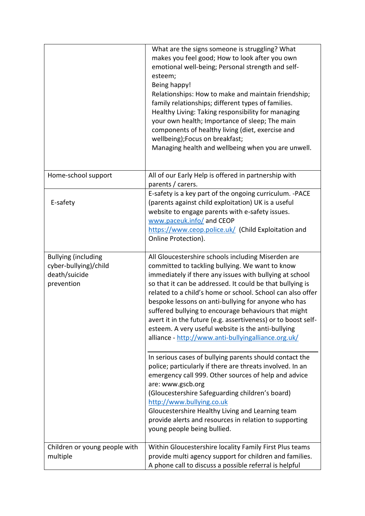|                                                                                    | What are the signs someone is struggling? What<br>makes you feel good; How to look after you own<br>emotional well-being; Personal strength and self-<br>esteem;<br>Being happy!<br>Relationships: How to make and maintain friendship;<br>family relationships; different types of families.<br>Healthy Living: Taking responsibility for managing<br>your own health; Importance of sleep; The main<br>components of healthy living (diet, exercise and<br>wellbeing); Focus on breakfast;<br>Managing health and wellbeing when you are unwell.                                       |
|------------------------------------------------------------------------------------|------------------------------------------------------------------------------------------------------------------------------------------------------------------------------------------------------------------------------------------------------------------------------------------------------------------------------------------------------------------------------------------------------------------------------------------------------------------------------------------------------------------------------------------------------------------------------------------|
| Home-school support                                                                | All of our Early Help is offered in partnership with<br>parents / carers.                                                                                                                                                                                                                                                                                                                                                                                                                                                                                                                |
| E-safety                                                                           | E-safety is a key part of the ongoing curriculum. - PACE<br>(parents against child exploitation) UK is a useful<br>website to engage parents with e-safety issues.<br>www.paceuk.info/ and CEOP<br>https://www.ceop.police.uk/ (Child Exploitation and<br>Online Protection).                                                                                                                                                                                                                                                                                                            |
| <b>Bullying (including</b><br>cyber-bullying)/child<br>death/suicide<br>prevention | All Gloucestershire schools including Miserden are<br>committed to tackling bullying. We want to know<br>immediately if there any issues with bullying at school<br>so that it can be addressed. It could be that bullying is<br>related to a child's home or school. School can also offer<br>bespoke lessons on anti-bullying for anyone who has<br>suffered bullying to encourage behaviours that might<br>avert it in the future (e.g. assertiveness) or to boost self-<br>esteem. A very useful website is the anti-bullying<br>alliance - http://www.anti-bullyingalliance.org.uk/ |
|                                                                                    | In serious cases of bullying parents should contact the<br>police; particularly if there are threats involved. In an<br>emergency call 999. Other sources of help and advice<br>are: www.gscb.org<br>(Gloucestershire Safeguarding children's board)<br>http://www.bullying.co.uk<br>Gloucestershire Healthy Living and Learning team<br>provide alerts and resources in relation to supporting<br>young people being bullied.                                                                                                                                                           |
| Children or young people with<br>multiple                                          | Within Gloucestershire locality Family First Plus teams<br>provide multi agency support for children and families.<br>A phone call to discuss a possible referral is helpful                                                                                                                                                                                                                                                                                                                                                                                                             |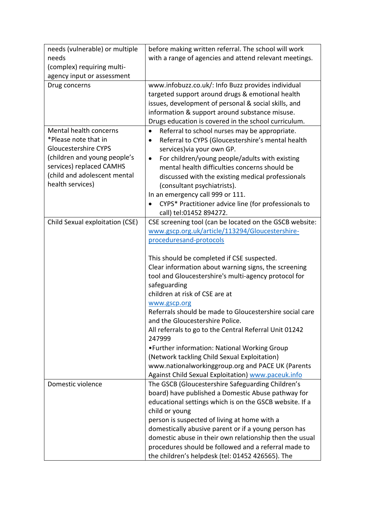| needs (vulnerable) or multiple  | before making written referral. The school will work              |
|---------------------------------|-------------------------------------------------------------------|
| needs                           | with a range of agencies and attend relevant meetings.            |
| (complex) requiring multi-      |                                                                   |
| agency input or assessment      |                                                                   |
| Drug concerns                   | www.infobuzz.co.uk/: Info Buzz provides individual                |
|                                 | targeted support around drugs & emotional health                  |
|                                 | issues, development of personal & social skills, and              |
|                                 | information & support around substance misuse.                    |
|                                 | Drugs education is covered in the school curriculum.              |
| Mental health concerns          | Referral to school nurses may be appropriate.<br>$\bullet$        |
| *Please note that in            | Referral to CYPS (Gloucestershire's mental health<br>$\bullet$    |
| <b>Gloucestershire CYPS</b>     | services) via your own GP.                                        |
| (children and young people's    | For children/young people/adults with existing<br>$\bullet$       |
| services) replaced CAMHS        | mental health difficulties concerns should be                     |
| (child and adolescent mental    | discussed with the existing medical professionals                 |
| health services)                | (consultant psychiatrists).                                       |
|                                 | In an emergency call 999 or 111.                                  |
|                                 | CYPS* Practitioner advice line (for professionals to<br>$\bullet$ |
| Child Sexual exploitation (CSE) | call) tel:01452 894272.                                           |
|                                 | CSE screening tool (can be located on the GSCB website:           |
|                                 | www.gscp.org.uk/article/113294/Gloucestershire-                   |
|                                 | proceduresand-protocols                                           |
|                                 | This should be completed if CSE suspected.                        |
|                                 | Clear information about warning signs, the screening              |
|                                 | tool and Gloucestershire's multi-agency protocol for              |
|                                 | safeguarding                                                      |
|                                 | children at risk of CSE are at                                    |
|                                 | www.gscp.org                                                      |
|                                 | Referrals should be made to Gloucestershire social care           |
|                                 | and the Gloucestershire Police.                                   |
|                                 | All referrals to go to the Central Referral Unit 01242<br>247999  |
|                                 | •Further information: National Working Group                      |
|                                 | (Network tackling Child Sexual Exploitation)                      |
|                                 | www.nationalworkinggroup.org and PACE UK (Parents                 |
|                                 | Against Child Sexual Exploitation) www.paceuk.info                |
| Domestic violence               | The GSCB (Gloucestershire Safeguarding Children's                 |
|                                 | board) have published a Domestic Abuse pathway for                |
|                                 | educational settings which is on the GSCB website. If a           |
|                                 | child or young                                                    |
|                                 | person is suspected of living at home with a                      |
|                                 | domestically abusive parent or if a young person has              |
|                                 | domestic abuse in their own relationship then the usual           |
|                                 | procedures should be followed and a referral made to              |
|                                 | the children's helpdesk (tel: 01452 426565). The                  |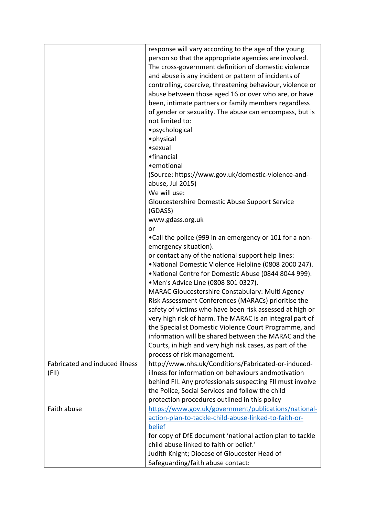|                                         | response will vary according to the age of the young<br>person so that the appropriate agencies are involved.<br>The cross-government definition of domestic violence<br>and abuse is any incident or pattern of incidents of<br>controlling, coercive, threatening behaviour, violence or<br>abuse between those aged 16 or over who are, or have<br>been, intimate partners or family members regardless<br>of gender or sexuality. The abuse can encompass, but is<br>not limited to:<br>· psychological<br>• physical<br>$\bullet$ sexual<br>·financial<br>• emotional<br>(Source: https://www.gov.uk/domestic-violence-and-<br>abuse, Jul 2015)                                                                                           |
|-----------------------------------------|------------------------------------------------------------------------------------------------------------------------------------------------------------------------------------------------------------------------------------------------------------------------------------------------------------------------------------------------------------------------------------------------------------------------------------------------------------------------------------------------------------------------------------------------------------------------------------------------------------------------------------------------------------------------------------------------------------------------------------------------|
|                                         | We will use:<br>Gloucestershire Domestic Abuse Support Service<br>(GDASS)<br>www.gdass.org.uk<br>or                                                                                                                                                                                                                                                                                                                                                                                                                                                                                                                                                                                                                                            |
|                                         | •Call the police (999 in an emergency or 101 for a non-<br>emergency situation).<br>or contact any of the national support help lines:<br>• National Domestic Violence Helpline (0808 2000 247).<br>.National Centre for Domestic Abuse (0844 8044 999).<br>•Men's Advice Line (0808 801 0327).<br>MARAC Gloucestershire Constabulary: Multi Agency<br>Risk Assessment Conferences (MARACs) prioritise the<br>safety of victims who have been risk assessed at high or<br>very high risk of harm. The MARAC is an integral part of<br>the Specialist Domestic Violence Court Programme, and<br>information will be shared between the MARAC and the<br>Courts, in high and very high risk cases, as part of the<br>process of risk management. |
| Fabricated and induced illness<br>(FII) | http://www.nhs.uk/Conditions/Fabricated-or-induced-<br>illness for information on behaviours andmotivation<br>behind FII. Any professionals suspecting FII must involve<br>the Police, Social Services and follow the child<br>protection procedures outlined in this policy                                                                                                                                                                                                                                                                                                                                                                                                                                                                   |
| Faith abuse                             | https://www.gov.uk/government/publications/national-<br>action-plan-to-tackle-child-abuse-linked-to-faith-or-<br>belief<br>for copy of DfE document 'national action plan to tackle<br>child abuse linked to faith or belief.'<br>Judith Knight; Diocese of Gloucester Head of<br>Safeguarding/faith abuse contact:                                                                                                                                                                                                                                                                                                                                                                                                                            |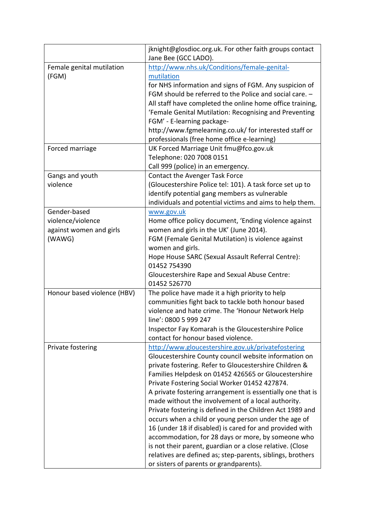| jknight@glosdioc.org.uk. For other faith groups contact                                                          |
|------------------------------------------------------------------------------------------------------------------|
|                                                                                                                  |
|                                                                                                                  |
| for NHS information and signs of FGM. Any suspicion of                                                           |
| FGM should be referred to the Police and social care. -                                                          |
| All staff have completed the online home office training,                                                        |
| 'Female Genital Mutilation: Recognising and Preventing                                                           |
|                                                                                                                  |
| http://www.fgmelearning.co.uk/ for interested staff or                                                           |
|                                                                                                                  |
|                                                                                                                  |
|                                                                                                                  |
|                                                                                                                  |
|                                                                                                                  |
| (Gloucestershire Police tel: 101). A task force set up to                                                        |
|                                                                                                                  |
| individuals and potential victims and aims to help them.                                                         |
|                                                                                                                  |
| Home office policy document, 'Ending violence against                                                            |
|                                                                                                                  |
|                                                                                                                  |
|                                                                                                                  |
|                                                                                                                  |
|                                                                                                                  |
|                                                                                                                  |
|                                                                                                                  |
|                                                                                                                  |
|                                                                                                                  |
|                                                                                                                  |
|                                                                                                                  |
|                                                                                                                  |
|                                                                                                                  |
| Gloucestershire County council website information on                                                            |
|                                                                                                                  |
| Families Helpdesk on 01452 426565 or Gloucestershire                                                             |
|                                                                                                                  |
| A private fostering arrangement is essentially one that is                                                       |
|                                                                                                                  |
| Private fostering is defined in the Children Act 1989 and                                                        |
| occurs when a child or young person under the age of<br>16 (under 18 if disabled) is cared for and provided with |
| accommodation, for 28 days or more, by someone who                                                               |
|                                                                                                                  |
| relatives are defined as; step-parents, siblings, brothers                                                       |
|                                                                                                                  |
| is not their parent, guardian or a close relative. (Close                                                        |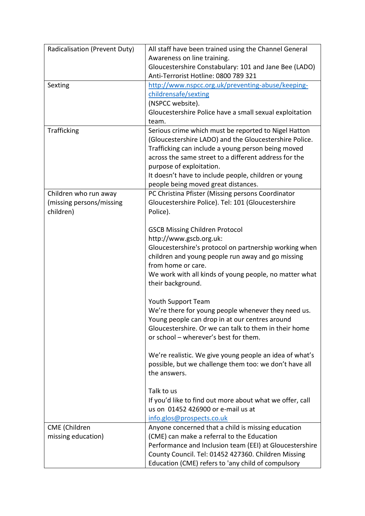| Radicalisation (Prevent Duty) | All staff have been trained using the Channel General    |
|-------------------------------|----------------------------------------------------------|
|                               | Awareness on line training.                              |
|                               | Gloucestershire Constabulary: 101 and Jane Bee (LADO)    |
|                               | Anti-Terrorist Hotline: 0800 789 321                     |
| Sexting                       | http://www.nspcc.org.uk/preventing-abuse/keeping-        |
|                               | childrensafe/sexting                                     |
|                               | (NSPCC website).                                         |
|                               | Gloucestershire Police have a small sexual exploitation  |
|                               | team.                                                    |
| Trafficking                   | Serious crime which must be reported to Nigel Hatton     |
|                               | (Gloucestershire LADO) and the Gloucestershire Police.   |
|                               | Trafficking can include a young person being moved       |
|                               | across the same street to a different address for the    |
|                               | purpose of exploitation.                                 |
|                               | It doesn't have to include people, children or young     |
|                               | people being moved great distances.                      |
| Children who run away         | PC Christina Pfister (Missing persons Coordinator        |
| (missing persons/missing      | Gloucestershire Police). Tel: 101 (Gloucestershire       |
| children)                     | Police).                                                 |
|                               |                                                          |
|                               | <b>GSCB Missing Children Protocol</b>                    |
|                               | http://www.gscb.org.uk:                                  |
|                               | Gloucestershire's protocol on partnership working when   |
|                               | children and young people run away and go missing        |
|                               | from home or care.                                       |
|                               | We work with all kinds of young people, no matter what   |
|                               | their background.                                        |
|                               |                                                          |
|                               | <b>Youth Support Team</b>                                |
|                               | We're there for young people whenever they need us.      |
|                               | Young people can drop in at our centres around           |
|                               | Gloucestershire. Or we can talk to them in their home    |
|                               | or school - wherever's best for them.                    |
|                               |                                                          |
|                               | We're realistic. We give young people an idea of what's  |
|                               | possible, but we challenge them too: we don't have all   |
|                               | the answers.                                             |
|                               |                                                          |
|                               | Talk to us                                               |
|                               | If you'd like to find out more about what we offer, call |
|                               | us on 01452 426900 or e-mail us at                       |
|                               | info.glos@prospects.co.uk                                |
| CME (Children                 | Anyone concerned that a child is missing education       |
| missing education)            | (CME) can make a referral to the Education               |
|                               | Performance and Inclusion team (EEI) at Gloucestershire  |
|                               | County Council. Tel: 01452 427360. Children Missing      |
|                               | Education (CME) refers to 'any child of compulsory       |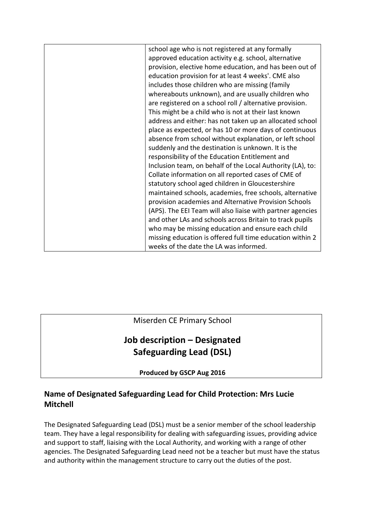| school age who is not registered at any formally           |
|------------------------------------------------------------|
| approved education activity e.g. school, alternative       |
| provision, elective home education, and has been out of    |
| education provision for at least 4 weeks'. CME also        |
| includes those children who are missing (family            |
| whereabouts unknown), and are usually children who         |
| are registered on a school roll / alternative provision.   |
| This might be a child who is not at their last known       |
| address and either: has not taken up an allocated school   |
| place as expected, or has 10 or more days of continuous    |
| absence from school without explanation, or left school    |
| suddenly and the destination is unknown. It is the         |
| responsibility of the Education Entitlement and            |
| Inclusion team, on behalf of the Local Authority (LA), to: |
| Collate information on all reported cases of CME of        |
| statutory school aged children in Gloucestershire          |
| maintained schools, academies, free schools, alternative   |
|                                                            |
| provision academies and Alternative Provision Schools      |
| (APS). The EEI Team will also liaise with partner agencies |
| and other LAs and schools across Britain to track pupils   |
| who may be missing education and ensure each child         |
| missing education is offered full time education within 2  |
| weeks of the date the LA was informed.                     |

Miserden CE Primary School

## **Job description – Designated Safeguarding Lead (DSL)**

**Produced by GSCP Aug 2016**

## **Name of Designated Safeguarding Lead for Child Protection: Mrs Lucie Mitchell**

The Designated Safeguarding Lead (DSL) must be a senior member of the school leadership team. They have a legal responsibility for dealing with safeguarding issues, providing advice and support to staff, liaising with the Local Authority, and working with a range of other agencies. The Designated Safeguarding Lead need not be a teacher but must have the status and authority within the management structure to carry out the duties of the post.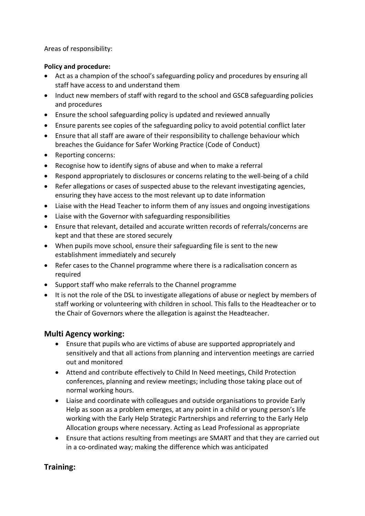Areas of responsibility:

#### **Policy and procedure:**

- Act as a champion of the school's safeguarding policy and procedures by ensuring all staff have access to and understand them
- Induct new members of staff with regard to the school and GSCB safeguarding policies and procedures
- Ensure the school safeguarding policy is updated and reviewed annually
- Ensure parents see copies of the safeguarding policy to avoid potential conflict later
- Ensure that all staff are aware of their responsibility to challenge behaviour which breaches the Guidance for Safer Working Practice (Code of Conduct)
- Reporting concerns:
- Recognise how to identify signs of abuse and when to make a referral
- Respond appropriately to disclosures or concerns relating to the well-being of a child
- Refer allegations or cases of suspected abuse to the relevant investigating agencies, ensuring they have access to the most relevant up to date information
- Liaise with the Head Teacher to inform them of any issues and ongoing investigations
- Liaise with the Governor with safeguarding responsibilities
- Ensure that relevant, detailed and accurate written records of referrals/concerns are kept and that these are stored securely
- When pupils move school, ensure their safeguarding file is sent to the new establishment immediately and securely
- Refer cases to the Channel programme where there is a radicalisation concern as required
- Support staff who make referrals to the Channel programme
- It is not the role of the DSL to investigate allegations of abuse or neglect by members of staff working or volunteering with children in school. This falls to the Headteacher or to the Chair of Governors where the allegation is against the Headteacher.

#### **Multi Agency working:**

- Ensure that pupils who are victims of abuse are supported appropriately and sensitively and that all actions from planning and intervention meetings are carried out and monitored
- Attend and contribute effectively to Child In Need meetings, Child Protection conferences, planning and review meetings; including those taking place out of normal working hours.
- Liaise and coordinate with colleagues and outside organisations to provide Early Help as soon as a problem emerges, at any point in a child or young person's life working with the Early Help Strategic Partnerships and referring to the Early Help Allocation groups where necessary. Acting as Lead Professional as appropriate
- Ensure that actions resulting from meetings are SMART and that they are carried out in a co-ordinated way; making the difference which was anticipated

## **Training:**